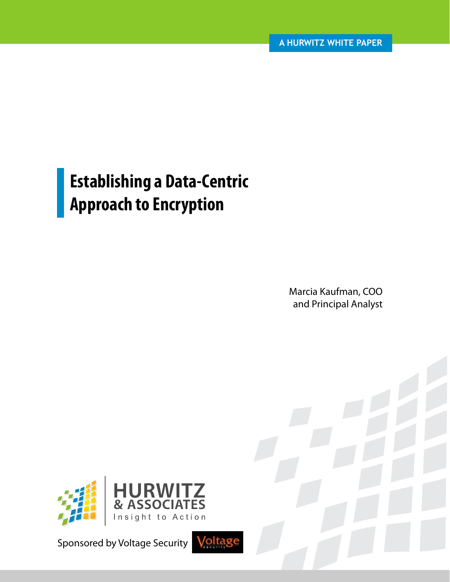# **Establishing a Data-Centric Approach to Encryption**

Marcia Kaufman, COO and Principal Analyst



Sponsored by Voltage Security

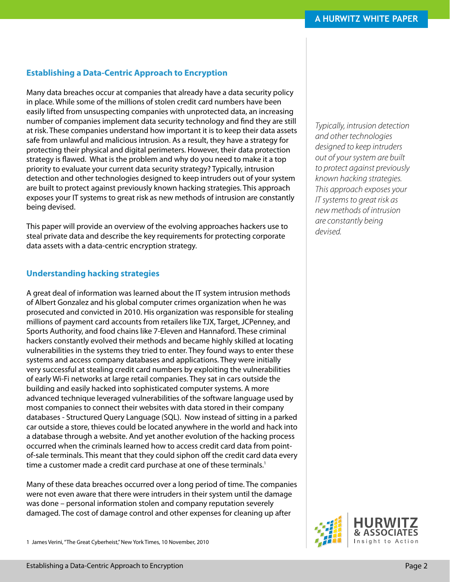# **Establishing a Data-Centric Approach to Encryption**

Many data breaches occur at companies that already have a data security policy in place. While some of the millions of stolen credit card numbers have been easily lifted from unsuspecting companies with unprotected data, an increasing number of companies implement data security technology and find they are still at risk. These companies understand how important it is to keep their data assets safe from unlawful and malicious intrusion. As a result, they have a strategy for protecting their physical and digital perimeters. However, their data protection strategy is flawed. What is the problem and why do you need to make it a top priority to evaluate your current data security strategy? Typically, intrusion detection and other technologies designed to keep intruders out of your system are built to protect against previously known hacking strategies. This approach exposes your IT systems to great risk as new methods of intrusion are constantly being devised.

This paper will provide an overview of the evolving approaches hackers use to steal private data and describe the key requirements for protecting corporate data assets with a data-centric encryption strategy.

#### **Understanding hacking strategies**

A great deal of information was learned about the IT system intrusion methods of Albert Gonzalez and his global computer crimes organization when he was prosecuted and convicted in 2010. His organization was responsible for stealing millions of payment card accounts from retailers like TJX, Target, JCPenney, and Sports Authority, and food chains like 7-Eleven and Hannaford. These criminal hackers constantly evolved their methods and became highly skilled at locating vulnerabilities in the systems they tried to enter. They found ways to enter these systems and access company databases and applications. They were initially very successful at stealing credit card numbers by exploiting the vulnerabilities of early Wi-Fi networks at large retail companies. They sat in cars outside the building and easily hacked into sophisticated computer systems. A more advanced technique leveraged vulnerabilities of the software language used by most companies to connect their websites with data stored in their company databases - Structured Query Language (SQL). Now instead of sitting in a parked car outside a store, thieves could be located anywhere in the world and hack into a database through a website. And yet another evolution of the hacking process occurred when the criminals learned how to access credit card data from pointof-sale terminals. This meant that they could siphon off the credit card data every time a customer made a credit card purchase at one of these terminals.<sup>1</sup>

Many of these data breaches occurred over a long period of time. The companies were not even aware that there were intruders in their system until the damage was done – personal information stolen and company reputation severely damaged. The cost of damage control and other expenses for cleaning up after

1 James Verini, "The Great Cyberheist," New York Times, 10 November, 2010

*Typically, intrusion detection and other technologies designed to keep intruders out of your system are built to protect against previously known hacking strategies. This approach exposes your IT systems to great risk as new methods of intrusion are constantly being devised.*

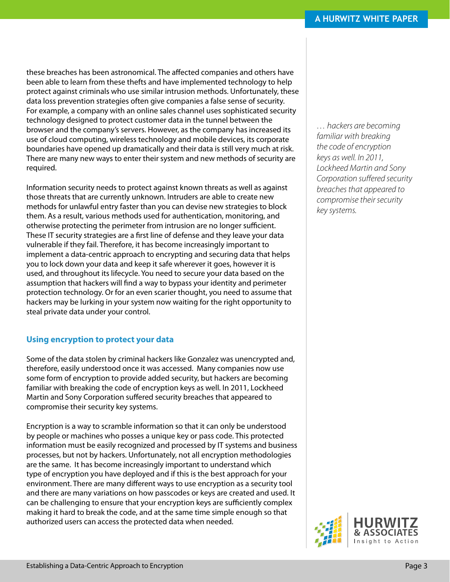these breaches has been astronomical. The affected companies and others have been able to learn from these thefts and have implemented technology to help protect against criminals who use similar intrusion methods. Unfortunately, these data loss prevention strategies often give companies a false sense of security. For example, a company with an online sales channel uses sophisticated security technology designed to protect customer data in the tunnel between the browser and the company's servers. However, as the company has increased its use of cloud computing, wireless technology and mobile devices, its corporate boundaries have opened up dramatically and their data is still very much at risk. There are many new ways to enter their system and new methods of security are required.

Information security needs to protect against known threats as well as against those threats that are currently unknown. Intruders are able to create new methods for unlawful entry faster than you can devise new strategies to block them. As a result, various methods used for authentication, monitoring, and otherwise protecting the perimeter from intrusion are no longer sufficient. These IT security strategies are a first line of defense and they leave your data vulnerable if they fail. Therefore, it has become increasingly important to implement a data-centric approach to encrypting and securing data that helps you to lock down your data and keep it safe wherever it goes, however it is used, and throughout its lifecycle. You need to secure your data based on the assumption that hackers will find a way to bypass your identity and perimeter protection technology. Or for an even scarier thought, you need to assume that hackers may be lurking in your system now waiting for the right opportunity to steal private data under your control.

# **Using encryption to protect your data**

Some of the data stolen by criminal hackers like Gonzalez was unencrypted and, therefore, easily understood once it was accessed. Many companies now use some form of encryption to provide added security, but hackers are becoming familiar with breaking the code of encryption keys as well. In 2011, Lockheed Martin and Sony Corporation suffered security breaches that appeared to compromise their security key systems.

Encryption is a way to scramble information so that it can only be understood by people or machines who posses a unique key or pass code. This protected information must be easily recognized and processed by IT systems and business processes, but not by hackers. Unfortunately, not all encryption methodologies are the same. It has become increasingly important to understand which type of encryption you have deployed and if this is the best approach for your environment. There are many different ways to use encryption as a security tool and there are many variations on how passcodes or keys are created and used. It can be challenging to ensure that your encryption keys are sufficiently complex making it hard to break the code, and at the same time simple enough so that authorized users can access the protected data when needed.

*… hackers are becoming familiar with breaking the code of encryption keys as well. In 2011, Lockheed Martin and Sony Corporation suffered security breaches that appeared to compromise their security key systems.*

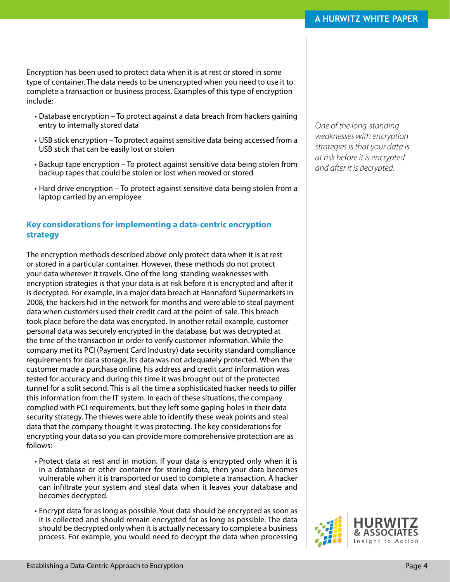Encryption has been used to protect data when it is at rest or stored in some type of container. The data needs to be unencrypted when you need to use it to complete a transaction or business process. Examples of this type of encryption include:

- Database encryption To protect against a data breach from hackers gaining entry to internally stored data
- USB stick encryption To protect against sensitive data being accessed from a USB stick that can be easily lost or stolen
- Backup tape encryption To protect against sensitive data being stolen from backup tapes that could be stolen or lost when moved or stored
- • Hard drive encryption To protect against sensitive data being stolen from a laptop carried by an employee

### **Key considerations for implementing a data-centric encryption strategy**

The encryption methods described above only protect data when it is at rest or stored in a particular container. However, these methods do not protect your data wherever it travels. One of the long-standing weaknesses with encryption strategies is that your data is at risk before it is encrypted and after it is decrypted. For example, in a major data breach at Hannaford Supermarkets in 2008, the hackers hid in the network for months and were able to steal payment data when customers used their credit card at the point-of-sale. This breach took place before the data was encrypted. In another retail example, customer personal data was securely encrypted in the database, but was decrypted at the time of the transaction in order to verify customer information. While the company met its PCI (Payment Card Industry) data security standard compliance requirements for data storage, its data was not adequately protected. When the customer made a purchase online, his address and credit card information was tested for accuracy and during this time it was brought out of the protected tunnel for a split second. This is all the time a sophisticated hacker needs to pilfer this information from the IT system. In each of these situations, the company complied with PCI requirements, but they left some gaping holes in their data security strategy. The thieves were able to identify these weak points and steal data that the company thought it was protecting. The key considerations for encrypting your data so you can provide more comprehensive protection are as follows:

- Protect data at rest and in motion. If your data is encrypted only when it is in a database or other container for storing data, then your data becomes vulnerable when it is transported or used to complete a transaction. A hacker can infiltrate your system and steal data when it leaves your database and becomes decrypted.
- Encrypt data for as long as possible. Your data should be encrypted as soon as it is collected and should remain encrypted for as long as possible. The data should be decrypted only when it is actually necessary to complete a business process. For example, you would need to decrypt the data when processing

*One of the long-standing weaknesses with encryption strategies is that your data is at risk before it is encrypted and after it is decrypted.*

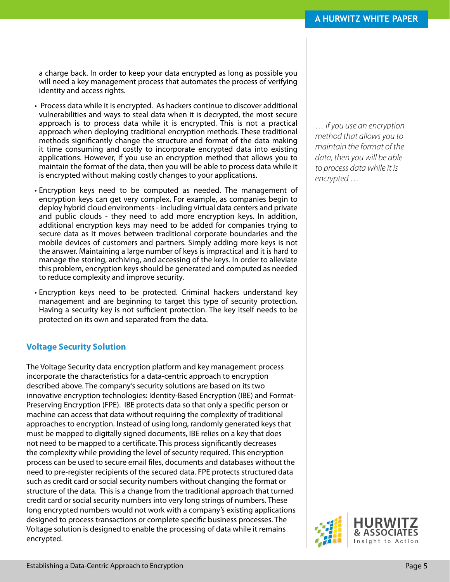a charge back. In order to keep your data encrypted as long as possible you will need a key management process that automates the process of verifying identity and access rights.

- Process data while it is encrypted. As hackers continue to discover additional vulnerabilities and ways to steal data when it is decrypted, the most secure approach is to process data while it is encrypted. This is not a practical approach when deploying traditional encryption methods. These traditional methods significantly change the structure and format of the data making it time consuming and costly to incorporate encrypted data into existing applications. However, if you use an encryption method that allows you to maintain the format of the data, then you will be able to process data while it is encrypted without making costly changes to your applications.
- Encryption keys need to be computed as needed. The management of encryption keys can get very complex. For example, as companies begin to deploy hybrid cloud environments - including virtual data centers and private and public clouds - they need to add more encryption keys. In addition, additional encryption keys may need to be added for companies trying to secure data as it moves between traditional corporate boundaries and the mobile devices of customers and partners. Simply adding more keys is not the answer. Maintaining a large number of keys is impractical and it is hard to manage the storing, archiving, and accessing of the keys. In order to alleviate this problem, encryption keys should be generated and computed as needed to reduce complexity and improve security.
- Encryption keys need to be protected. Criminal hackers understand key management and are beginning to target this type of security protection. Having a security key is not sufficient protection. The key itself needs to be protected on its own and separated from the data.

#### **Voltage Security Solution**

The Voltage Security data encryption platform and key management process incorporate the characteristics for a data-centric approach to encryption described above. The company's security solutions are based on its two innovative encryption technologies: Identity-Based Encryption (IBE) and Format-Preserving Encryption (FPE). IBE protects data so that only a specific person or machine can access that data without requiring the complexity of traditional approaches to encryption. Instead of using long, randomly generated keys that must be mapped to digitally signed documents, IBE relies on a key that does not need to be mapped to a certificate. This process significantly decreases the complexity while providing the level of security required. This encryption process can be used to secure email files, documents and databases without the need to pre-register recipients of the secured data. FPE protects structured data such as credit card or social security numbers without changing the format or structure of the data. This is a change from the traditional approach that turned credit card or social security numbers into very long strings of numbers. These long encrypted numbers would not work with a company's existing applications designed to process transactions or complete specific business processes. The Voltage solution is designed to enable the processing of data while it remains encrypted.

*… if you use an encryption method that allows you to maintain the format of the data, then you will be able to process data while it is encrypted …*

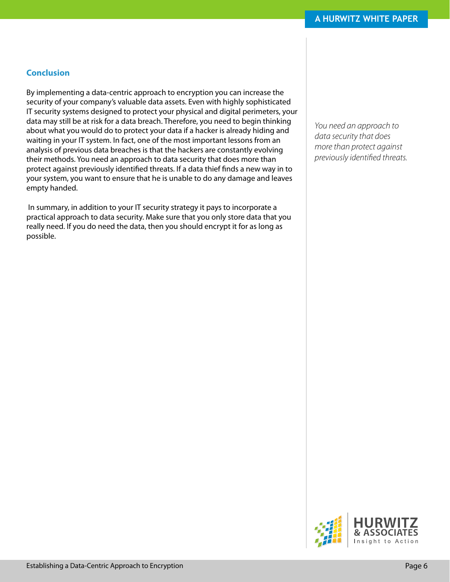### **Conclusion**

By implementing a data-centric approach to encryption you can increase the security of your company's valuable data assets. Even with highly sophisticated IT security systems designed to protect your physical and digital perimeters, your data may still be at risk for a data breach. Therefore, you need to begin thinking about what you would do to protect your data if a hacker is already hiding and waiting in your IT system. In fact, one of the most important lessons from an analysis of previous data breaches is that the hackers are constantly evolving their methods. You need an approach to data security that does more than protect against previously identified threats. If a data thief finds a new way in to your system, you want to ensure that he is unable to do any damage and leaves empty handed.

 In summary, in addition to your IT security strategy it pays to incorporate a practical approach to data security. Make sure that you only store data that you really need. If you do need the data, then you should encrypt it for as long as possible.

*You need an approach to data security that does more than protect against previously identified threats.*